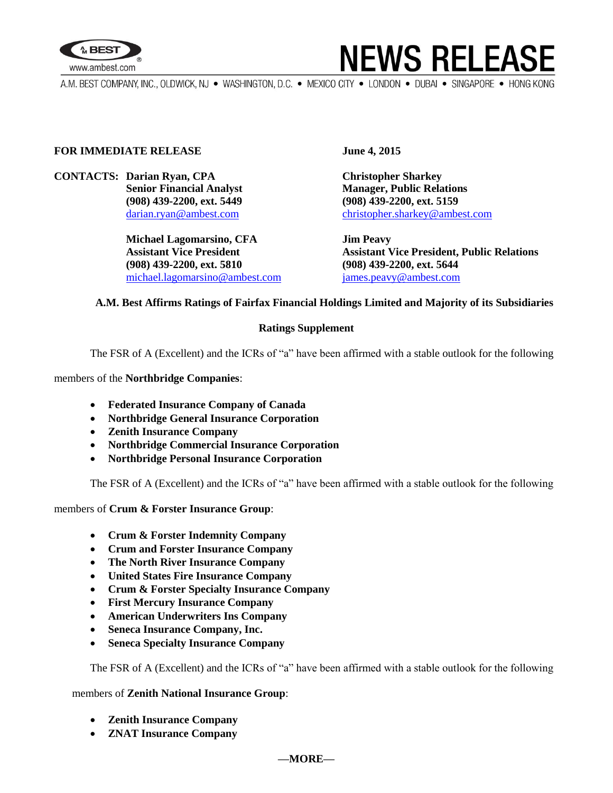



A.M. BEST COMPANY, INC., OLDWICK, NJ . WASHINGTON, D.C. . MEXICO CITY . LONDON . DUBAI . SINGAPORE . HONG KONG

#### **FOR IMMEDIATE RELEASE** June 4, 2015

# **CONTACTS: Darian Ryan, CPA Christopher Sharkey**

**Michael Lagomarsino, CFA Jim Peavy (908) 439-2200, ext. 5810 (908) 439-2200, ext. 5644** michael.lagomarsino@ambest.com [james.peavy@ambest.com](mailto:james.peavy@ambest.com)

**Senior Financial Analyst Manager, Public Relations (908) 439-2200, ext. 5449 (908) 439-2200, ext. 5159** [darian.ryan@ambest.com](mailto:darian.ryan@ambest.com) [christopher.sharkey@ambest.com](mailto:christopher.sharkey@ambest.com)

**Assistant Vice President Assistant Vice President, Public Relations**

### **A.M. Best Affirms Ratings of Fairfax Financial Holdings Limited and Majority of its Subsidiaries**

#### **Ratings Supplement**

The FSR of A (Excellent) and the ICRs of "a" have been affirmed with a stable outlook for the following

members of the **Northbridge Companies**:

- **Federated Insurance Company of Canada**
- **Northbridge General Insurance Corporation**
- **Zenith Insurance Company**
- **Northbridge Commercial Insurance Corporation**
- **Northbridge Personal Insurance Corporation**

The FSR of A (Excellent) and the ICRs of "a" have been affirmed with a stable outlook for the following

members of **Crum & Forster Insurance Group**:

- **Crum & Forster Indemnity Company**
- **Crum and Forster Insurance Company**
- **The North River Insurance Company**
- **United States Fire Insurance Company**
- **Crum & Forster Specialty Insurance Company**
- **First Mercury Insurance Company**
- **American Underwriters Ins Company**
- **Seneca Insurance Company, Inc.**
- **Seneca Specialty Insurance Company**

The FSR of A (Excellent) and the ICRs of "a" have been affirmed with a stable outlook for the following

members of **Zenith National Insurance Group**:

- **Zenith Insurance Company**
- **ZNAT Insurance Company**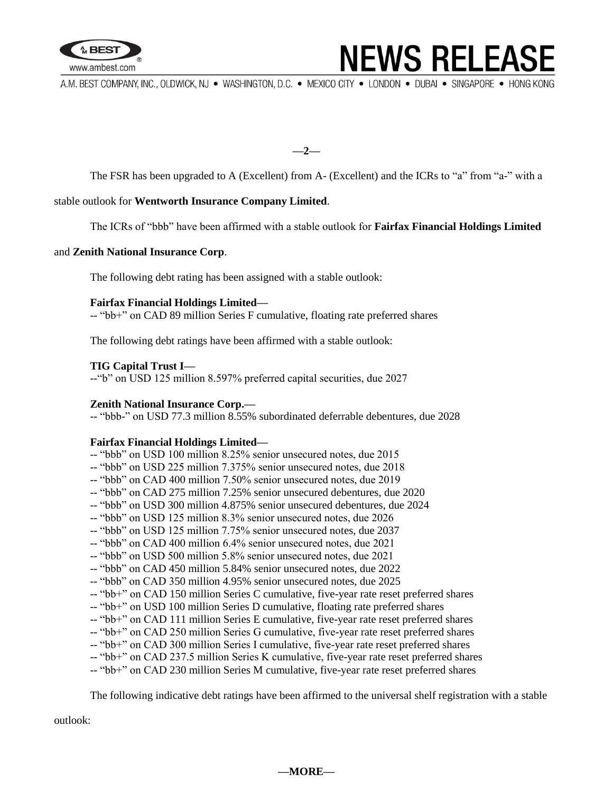

### **NEWS RELEASE**

A.M. BEST COMPANY, INC., OLDWICK, NJ · WASHINGTON, D.C. · MEXICO CITY · LONDON · DUBAI · SINGAPORE · HONG KONG

**—2—**

The FSR has been upgraded to A (Excellent) from A- (Excellent) and the ICRs to "a" from "a-" with a

#### stable outlook for **Wentworth Insurance Company Limited**.

The ICRs of "bbb" have been affirmed with a stable outlook for **Fairfax Financial Holdings Limited**

#### and **Zenith National Insurance Corp**.

The following debt rating has been assigned with a stable outlook:

#### **Fairfax Financial Holdings Limited—**

-- "bb+" on CAD 89 million Series F cumulative, floating rate preferred shares

The following debt ratings have been affirmed with a stable outlook:

#### **TIG Capital Trust I—**

--"b" on USD 125 million 8.597% preferred capital securities, due 2027

#### **Zenith National Insurance Corp.—**

-- "bbb-" on USD 77.3 million 8.55% subordinated deferrable debentures, due 2028

#### **Fairfax Financial Holdings Limited—**

- -- "bbb" on USD 100 million 8.25% senior unsecured notes, due 2015
- -- "bbb" on USD 225 million 7.375% senior unsecured notes, due 2018
- -- "bbb" on CAD 400 million 7.50% senior unsecured notes, due 2019
- -- "bbb" on CAD 275 million 7.25% senior unsecured debentures, due 2020
- -- "bbb" on USD 300 million 4.875% senior unsecured debentures, due 2024
- -- "bbb" on USD 125 million 8.3% senior unsecured notes, due 2026
- -- "bbb" on USD 125 million 7.75% senior unsecured notes, due 2037
- -- "bbb" on CAD 400 million 6.4% senior unsecured notes, due 2021
- -- "bbb" on USD 500 million 5.8% senior unsecured notes, due 2021
- -- "bbb" on CAD 450 million 5.84% senior unsecured notes, due 2022
- -- "bbb" on CAD 350 million 4.95% senior unsecured notes, due 2025
- -- "bb+" on CAD 150 million Series C cumulative, five-year rate reset preferred shares
- -- "bb+" on USD 100 million Series D cumulative, floating rate preferred shares
- -- "bb+" on CAD 111 million Series E cumulative, five-year rate reset preferred shares
- -- "bb+" on CAD 250 million Series G cumulative, five-year rate reset preferred shares
- -- "bb+" on CAD 300 million Series I cumulative, five-year rate reset preferred shares
- -- "bb+" on CAD 237.5 million Series K cumulative, five-year rate reset preferred shares
- -- "bb+" on CAD 230 million Series M cumulative, five-year rate reset preferred shares

The following indicative debt ratings have been affirmed to the universal shelf registration with a stable

outlook: